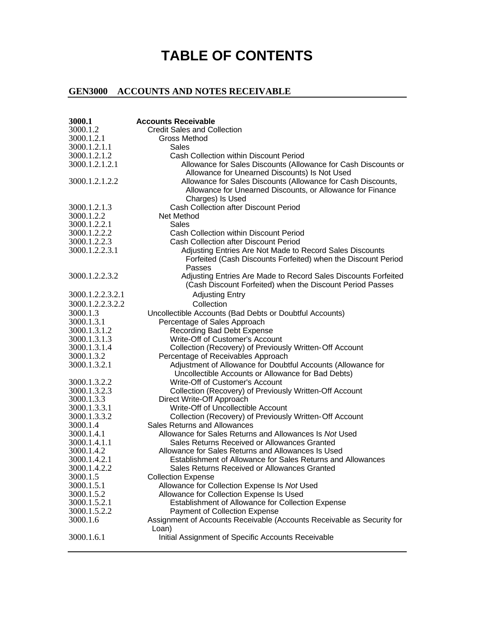## **TABLE OF CONTENTS**

## **GEN3000 ACCOUNTS AND NOTES RECEIVABLE**

| 3000.1           | <b>Accounts Receivable</b>                                             |
|------------------|------------------------------------------------------------------------|
| 3000.1.2         | <b>Credit Sales and Collection</b>                                     |
| 3000.1.2.1       | Gross Method                                                           |
| 3000.1.2.1.1     | <b>Sales</b>                                                           |
| 3000.1.2.1.2     | Cash Collection within Discount Period                                 |
| 3000.1.2.1.2.1   | Allowance for Sales Discounts (Allowance for Cash Discounts or         |
|                  | Allowance for Unearned Discounts) Is Not Used                          |
| 3000.1.2.1.2.2   | Allowance for Sales Discounts (Allowance for Cash Discounts,           |
|                  | Allowance for Unearned Discounts, or Allowance for Finance             |
|                  | Charges) Is Used                                                       |
| 3000.1.2.1.3     | <b>Cash Collection after Discount Period</b>                           |
| 3000.1.2.2       | Net Method                                                             |
| 3000.1.2.2.1     | Sales                                                                  |
| 3000.1.2.2.2     | Cash Collection within Discount Period                                 |
| 3000.1.2.2.3     | <b>Cash Collection after Discount Period</b>                           |
| 3000.1.2.2.3.1   | Adjusting Entries Are Not Made to Record Sales Discounts               |
|                  |                                                                        |
|                  | Forfeited (Cash Discounts Forfeited) when the Discount Period          |
| 3000.1.2.2.3.2   | Passes                                                                 |
|                  | Adjusting Entries Are Made to Record Sales Discounts Forfeited         |
|                  | (Cash Discount Forfeited) when the Discount Period Passes              |
| 3000.1.2.2.3.2.1 | <b>Adjusting Entry</b>                                                 |
| 3000.1.2.2.3.2.2 | Collection                                                             |
| 3000.1.3         | Uncollectible Accounts (Bad Debts or Doubtful Accounts)                |
| 3000.1.3.1       | Percentage of Sales Approach                                           |
| 3000.1.3.1.2     | Recording Bad Debt Expense                                             |
| 3000.1.3.1.3     | Write-Off of Customer's Account                                        |
| 3000.1.3.1.4     | Collection (Recovery) of Previously Written-Off Account                |
| 3000.1.3.2       | Percentage of Receivables Approach                                     |
| 3000.1.3.2.1     | Adjustment of Allowance for Doubtful Accounts (Allowance for           |
|                  | Uncollectible Accounts or Allowance for Bad Debts)                     |
| 3000.1.3.2.2     | Write-Off of Customer's Account                                        |
| 3000.1.3.2.3     | Collection (Recovery) of Previously Written-Off Account                |
| 3000.1.3.3       | Direct Write-Off Approach                                              |
| 3000.1.3.3.1     | Write-Off of Uncollectible Account                                     |
| 3000.1.3.3.2     | Collection (Recovery) of Previously Written-Off Account                |
| 3000.1.4         | <b>Sales Returns and Allowances</b>                                    |
| 3000.1.4.1       | Allowance for Sales Returns and Allowances Is Not Used                 |
| 3000.1.4.1.1     | Sales Returns Received or Allowances Granted                           |
| 3000.1.4.2       | Allowance for Sales Returns and Allowances Is Used                     |
| 3000.1.4.2.1     | Establishment of Allowance for Sales Returns and Allowances            |
| 3000.1.4.2.2     | Sales Returns Received or Allowances Granted                           |
| 3000.1.5         | <b>Collection Expense</b>                                              |
| 3000.1.5.1       | Allowance for Collection Expense Is Not Used                           |
| 3000.1.5.2       | Allowance for Collection Expense Is Used                               |
| 3000.1.5.2.1     | <b>Establishment of Allowance for Collection Expense</b>               |
| 3000.1.5.2.2     | Payment of Collection Expense                                          |
| 3000.1.6         | Assignment of Accounts Receivable (Accounts Receivable as Security for |
|                  | Loan)                                                                  |
| 3000.1.6.1       | Initial Assignment of Specific Accounts Receivable                     |
|                  |                                                                        |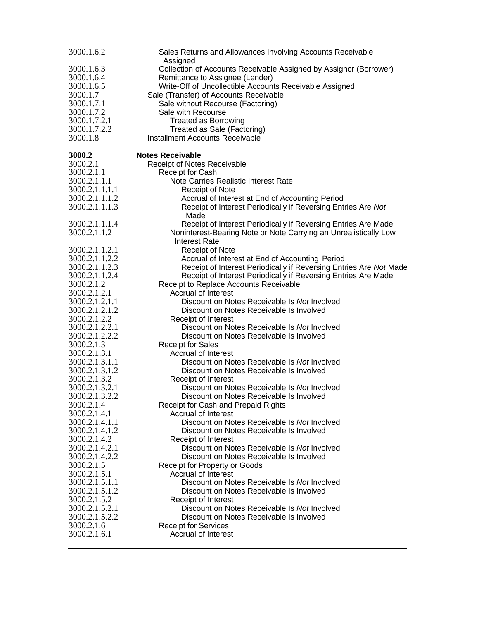| 3000.1.6.2                     | Sales Returns and Allowances Involving Accounts Receivable                                 |
|--------------------------------|--------------------------------------------------------------------------------------------|
|                                | Assigned                                                                                   |
| 3000.1.6.3                     | Collection of Accounts Receivable Assigned by Assignor (Borrower)                          |
| 3000.1.6.4<br>3000.1.6.5       | Remittance to Assignee (Lender)<br>Write-Off of Uncollectible Accounts Receivable Assigned |
| 3000.1.7                       | Sale (Transfer) of Accounts Receivable                                                     |
| 3000.1.7.1                     | Sale without Recourse (Factoring)                                                          |
| 3000.1.7.2                     | Sale with Recourse                                                                         |
| 3000.1.7.2.1                   | <b>Treated as Borrowing</b>                                                                |
| 3000.1.7.2.2                   | Treated as Sale (Factoring)                                                                |
| 3000.1.8                       | Installment Accounts Receivable                                                            |
| 3000.2                         | <b>Notes Receivable</b>                                                                    |
| 3000.2.1                       | Receipt of Notes Receivable                                                                |
| 3000.2.1.1                     | Receipt for Cash                                                                           |
| 3000.2.1.1.1                   | Note Carries Realistic Interest Rate                                                       |
| 3000.2.1.1.1.1                 | Receipt of Note                                                                            |
| 3000.2.1.1.1.2                 | Accrual of Interest at End of Accounting Period                                            |
| 3000.2.1.1.1.3                 | Receipt of Interest Periodically if Reversing Entries Are Not<br>Made                      |
| 3000.2.1.1.1.4                 | Receipt of Interest Periodically if Reversing Entries Are Made                             |
| 3000.2.1.1.2                   | Noninterest-Bearing Note or Note Carrying an Unrealistically Low                           |
|                                | <b>Interest Rate</b>                                                                       |
| 3000.2.1.1.2.1                 | <b>Receipt of Note</b>                                                                     |
| 3000.2.1.1.2.2                 | Accrual of Interest at End of Accounting Period                                            |
| 3000.2.1.1.2.3                 | Receipt of Interest Periodically if Reversing Entries Are Not Made                         |
| 3000.2.1.1.2.4                 | Receipt of Interest Periodically if Reversing Entries Are Made                             |
| 3000.2.1.2                     | Receipt to Replace Accounts Receivable                                                     |
| 3000.2.1.2.1                   | <b>Accrual of Interest</b>                                                                 |
| 3000.2.1.2.1.1                 | Discount on Notes Receivable Is Not Involved                                               |
| 3000.2.1.2.1.2<br>3000.2.1.2.2 | Discount on Notes Receivable Is Involved                                                   |
| 3000.2.1.2.2.1                 | Receipt of Interest<br>Discount on Notes Receivable Is Not Involved                        |
| 3000.2.1.2.2.2                 | Discount on Notes Receivable Is Involved                                                   |
| 3000.2.1.3                     | <b>Receipt for Sales</b>                                                                   |
| 3000.2.1.3.1                   | <b>Accrual of Interest</b>                                                                 |
| 3000.2.1.3.1.1                 | Discount on Notes Receivable Is Not Involved                                               |
| 3000.2.1.3.1.2                 | Discount on Notes Receivable Is Involved                                                   |
| 3000.2.1.3.2                   | Receipt of Interest                                                                        |
| 3000.2.1.3.2.1                 | Discount on Notes Receivable Is Not Involved                                               |
| 3000.2.1.3.2.2                 | Discount on Notes Receivable Is Involved                                                   |
| 3000.2.1.4                     | Receipt for Cash and Prepaid Rights                                                        |
| 3000.2.1.4.1                   | <b>Accrual of Interest</b>                                                                 |
| 3000.2.1.4.1.1                 | Discount on Notes Receivable Is Not Involved                                               |
| 3000.2.1.4.1.2                 | Discount on Notes Receivable Is Involved                                                   |
| 3000.2.1.4.2                   | Receipt of Interest                                                                        |
| 3000.2.1.4.2.1                 | Discount on Notes Receivable Is Not Involved                                               |
| 3000.2.1.4.2.2                 | Discount on Notes Receivable Is Involved                                                   |
| 3000.2.1.5                     | Receipt for Property or Goods                                                              |
| 3000.2.1.5.1<br>3000.2.1.5.1.1 | <b>Accrual of Interest</b><br>Discount on Notes Receivable Is Not Involved                 |
| 3000.2.1.5.1.2                 | Discount on Notes Receivable Is Involved                                                   |
| 3000.2.1.5.2                   | Receipt of Interest                                                                        |
| 3000.2.1.5.2.1                 | Discount on Notes Receivable Is Not Involved                                               |
| 3000.2.1.5.2.2                 | Discount on Notes Receivable Is Involved                                                   |
| 3000.2.1.6                     | <b>Receipt for Services</b>                                                                |
| 3000.2.1.6.1                   | Accrual of Interest                                                                        |
|                                |                                                                                            |